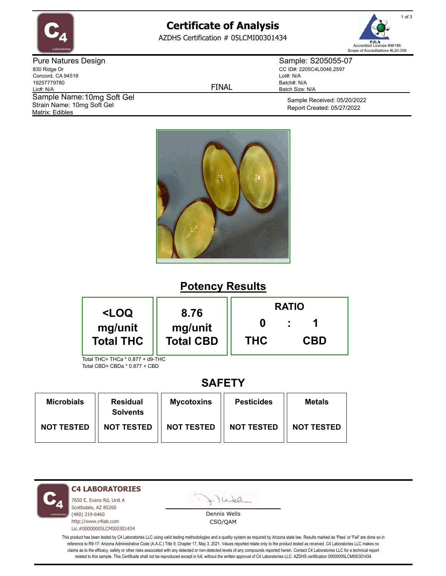

# **Certificate of Analysis**

AZDHS Certification # 05LCMI00301434



Pure Natures Design 830 Ridge Dr Concord, CA 94518 19257779780 Lic#: N/A Matrix: Edibles Sample Name: 10mg Soft Gel Strain Name: 10mg Soft Gel

FINAL

Sample: S205055-07 CC ID#: 2205C4L0046.2597 Lot#: N/A Batch#: N/A Batch Size: N/A

> Sample Received: 05/20/2022 Report Created: 05/27/2022



### **Potency Results**

| <loq< th=""><th rowspan="2">8.76<br/>mg/unit<br/><b>Total CBD</b></th><th colspan="3"><b>RATIO</b></th></loq<> | 8.76<br>mg/unit<br><b>Total CBD</b> | <b>RATIO</b> |            |  |
|----------------------------------------------------------------------------------------------------------------|-------------------------------------|--------------|------------|--|
| mg/unit<br><b>Total THC</b>                                                                                    |                                     | <b>THC</b>   | <b>CBD</b> |  |
| Total THC= THCa * 0 877 + d9-THC                                                                               |                                     |              |            |  |

Total THC= THCa \* 0.877 + d9-THC Total CBD= CBDa \* 0.877 + CBD

### **SAFETY**

| <b>Microbials</b> | <b>Residual</b><br><b>Solvents</b> | <b>Mycotoxins</b> | <b>Pesticides</b> | <b>Metals</b>     |
|-------------------|------------------------------------|-------------------|-------------------|-------------------|
| <b>NOT TESTED</b> | <b>NOT TESTED</b>                  | <b>NOT TESTED</b> | <b>NOT TESTED</b> | <b>NOT TESTED</b> |

**C4 LABORATORIES**

7650 E. Evans Rd, Unit A Scottsdale, AZ 85260 (480) 219-6460 http://www.c4lab.com Lic.#00000005LCMI00301434 - Juea

Dennis Wells CSO/QAM

This product has been tested by C4 Laboratories LLC using valid testing methodologies and a quality system as required by Arizona state law. Results marked as 'Pass' or 'Fail' are done so in reference to R9-17: Arizona Administrative Code (A.A.C.) Title 9, Chapter 17, May 3, 2021. Values reported relate only to the product tested as received. C4 Laboratories LLC makes no claims as to the efficacy, safety or other risks associated with any detected or non-detected levels of any compounds reported herein. Contact C4 Laboratories LLC for a technical report related to this sample. This Certificate shall not be reproduced except in full, without the written approval of C4 Laboratories LLC. AZDHS certification 00000005LCMI00301434.

1 of 3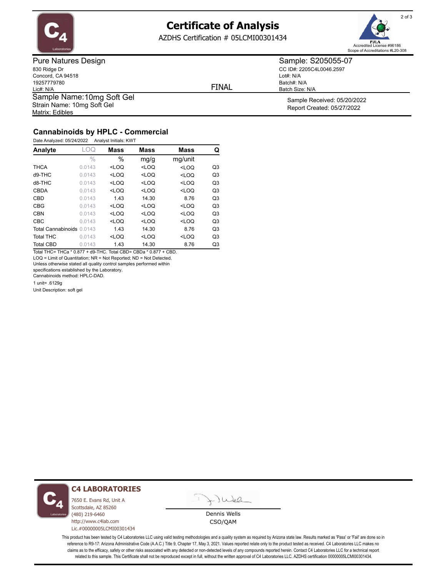

## **Certificate of Analysis**

AZDHS Certification # 05LCMI00301434



Pure Natures Design 830 Ridge Dr Concord, CA 94518 19257779780 Lic#: N/A Matrix: Edibles Sample Name: 10mg Soft Gel Strain Name: 10mg Soft Gel

FINAL

Lot#: N/A

Batch#: N/A Batch Size: N/A

Sample: S205055-07 CC ID#: 2205C4L0046.2597

> Sample Received: 05/20/2022 Report Created: 05/27/2022

#### **Cannabinoids by HPLC - Commercial**

| Analyte                   | LOQ    | <b>Mass</b> | <b>Mass</b> | <b>Mass</b> | Q              |
|---------------------------|--------|-------------|-------------|-------------|----------------|
|                           | $\%$   | $\%$        | mg/g        | mg/unit     |                |
| <b>THCA</b>               | 0.0143 | $<$ LOQ     | $<$ LOQ     | $<$ LOQ     | Q3             |
| $d9-THC$                  | 0.0143 | $<$ LOQ     | $<$ LOQ     | $<$ LOQ     | Q <sub>3</sub> |
| d8-THC                    | 0.0143 | $<$ LOQ     | $<$ LOQ     | $<$ LOQ     | Q <sub>3</sub> |
| <b>CBDA</b>               | 0.0143 | $<$ LOQ     | $<$ LOQ     | $<$ LOQ     | Q <sub>3</sub> |
| <b>CBD</b>                | 0.0143 | 1.43        | 14.30       | 8.76        | Q <sub>3</sub> |
| <b>CBG</b>                | 0.0143 | $<$ LOQ     | $<$ LOQ     | $<$ LOQ     | Q <sub>3</sub> |
| <b>CBN</b>                | 0.0143 | $<$ LOQ     | $<$ LOQ     | $<$ LOQ     | Q <sub>3</sub> |
| <b>CBC</b>                | 0.0143 | $<$ LOQ     | $<$ LOQ     | $<$ LOQ     | Q <sub>3</sub> |
| Total Cannabinoids 0.0143 |        | 1.43        | 14.30       | 8.76        | Q <sub>3</sub> |
| <b>Total THC</b>          | 0.0143 | $<$ LOQ     | $<$ LOQ     | $<$ LOQ     | Q <sub>3</sub> |
| <b>Total CBD</b>          | 0.0143 | 1.43        | 14.30       | 8.76        | Q3             |

Total THC= THCa \* 0.877 + d9-THC. Total CBD= CBDa \* 0.877 + CBD. LOQ = Limit of Quantitation; NR = Not Reported; ND = Not Detected.

Unless otherwise stated all quality control samples performed within

specifications established by the Laboratory.

Cannabinoids method: HPLC-DAD.

1 unit= .6129g

Unit Description: soft gel



#### **C4 LABORATORIES**

7650 E. Evans Rd, Unit A Scottsdale, AZ 85260 (480) 219-6460 http://www.c4lab.com Lic.#00000005LCMI00301434



Dennis Wells CSO/QAM

This product has been tested by C4 Laboratories LLC using valid testing methodologies and a quality system as required by Arizona state law. Results marked as 'Pass' or 'Fail' are done so in reference to R9-17: Arizona Administrative Code (A.A.C.) Title 9, Chapter 17, May 3, 2021. Values reported relate only to the product tested as received. C4 Laboratories LLC makes no claims as to the efficacy, safety or other risks associated with any detected or non-detected levels of any compounds reported herein. Contact C4 Laboratories LLC for a technical report related to this sample. This Certificate shall not be reproduced except in full, without the written approval of C4 Laboratories LLC. AZDHS certification 00000005LCMI00301434.